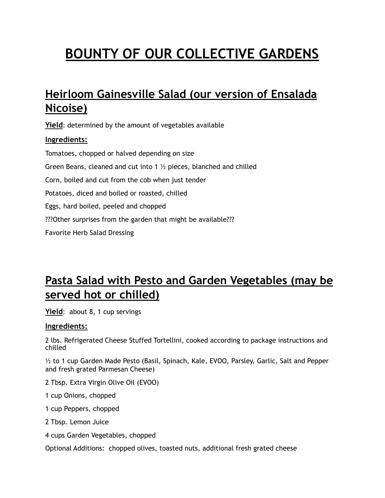# **BOUNTY OF OUR COLLECTIVE GARDENS**

## **Heirloom Gainesville Salad (our version of Ensalada Nicoise)**

**Yield**: determined by the amount of vegetables available **Ingredients:**  Tomatoes, chopped or halved depending on size Green Beans, cleaned and cut into 1 ½ pieces, blanched and chilled Corn, boiled and cut from the cob when just tender Potatoes, diced and boiled or roasted, chilled Eggs, hard boiled, peeled and chopped ???Other surprises from the garden that might be available??? Favorite Herb Salad Dressing

### **Pasta Salad with Pesto and Garden Vegetables (may be served hot or chilled)**

**Yield**: about 8, 1 cup servings

#### **Ingredients:**

2 lbs. Refrigerated Cheese Stuffed Tortellini, cooked according to package instructions and chilled

½ to 1 cup Garden Made Pesto (Basil, Spinach, Kale, EVOO, Parsley, Garlic, Salt and Pepper and fresh grated Parmesan Cheese)

2 Tbsp. Extra Virgin Olive Oil (EVOO)

1 cup Onions, chopped

1 cup Peppers, chopped

2 Tbsp. Lemon Juice

4 cups Garden Vegetables, chopped

Optional Additions: chopped olives, toasted nuts, additional fresh grated cheese